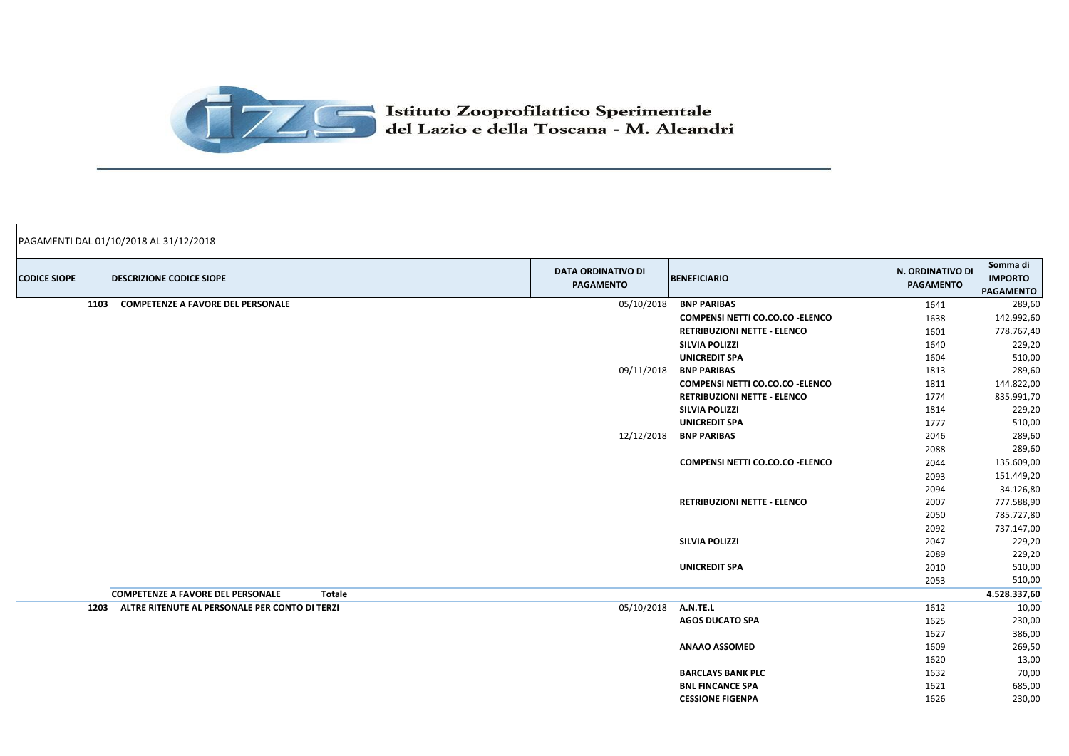| <b>CODICE SIOPE</b> | <b>DESCRIZIONE CODICE SIOPE</b>                           | <b>DATA ORDINATIVO DI</b><br><b>PAGAMENTO</b> | <b>BENEFICIARIO</b>                                | N. ORDINATIVO DI<br><b>PAGAMENTO</b> | Somma di<br><b>IMPORTO</b><br><b>PAGAMENTO</b> |
|---------------------|-----------------------------------------------------------|-----------------------------------------------|----------------------------------------------------|--------------------------------------|------------------------------------------------|
| 1103                | <b>COMPETENZE A FAVORE DEL PERSONALE</b>                  | 05/10/2018                                    | <b>BNP PARIBAS</b>                                 | 1641                                 | 289,60                                         |
|                     |                                                           |                                               | <b>COMPENSI NETTI CO.CO.CO - ELENCO</b>            | 1638                                 | 142.992,60                                     |
|                     |                                                           |                                               | <b>RETRIBUZIONI NETTE - ELENCO</b>                 | 1601                                 | 778.767,40                                     |
|                     |                                                           |                                               | <b>SILVIA POLIZZI</b>                              | 1640                                 | 229,20                                         |
|                     |                                                           |                                               | <b>UNICREDIT SPA</b>                               | 1604                                 | 510,00                                         |
|                     |                                                           | 09/11/2018                                    | <b>BNP PARIBAS</b>                                 | 1813                                 | 289,60                                         |
|                     |                                                           |                                               | <b>COMPENSI NETTI CO.CO.CO - ELENCO</b>            | 1811                                 | 144.822,00                                     |
|                     |                                                           |                                               | <b>RETRIBUZIONI NETTE - ELENCO</b>                 | 1774                                 | 835.991,70                                     |
|                     |                                                           |                                               | <b>SILVIA POLIZZI</b>                              | 1814                                 | 229,20                                         |
|                     |                                                           |                                               | <b>UNICREDIT SPA</b>                               | 1777                                 | 510,00                                         |
|                     |                                                           | 12/12/2018                                    | <b>BNP PARIBAS</b>                                 | 2046                                 | 289,60                                         |
|                     |                                                           |                                               |                                                    | 2088                                 | 289,60                                         |
|                     |                                                           |                                               | <b>COMPENSI NETTI CO.CO.CO - ELENCO</b>            | 2044                                 | 135.609,00                                     |
|                     |                                                           |                                               |                                                    | 2093                                 | 151.449,20                                     |
|                     |                                                           |                                               |                                                    | 2094                                 | 34.126,80                                      |
|                     |                                                           |                                               | <b>RETRIBUZIONI NETTE - ELENCO</b>                 | 2007                                 | 777.588,90                                     |
|                     |                                                           |                                               |                                                    | 2050                                 | 785.727,80                                     |
|                     |                                                           |                                               |                                                    | 2092                                 | 737.147,00                                     |
|                     |                                                           |                                               | <b>SILVIA POLIZZI</b>                              | 2047                                 | 229,20                                         |
|                     |                                                           |                                               |                                                    | 2089                                 | 229,20                                         |
|                     |                                                           |                                               | <b>UNICREDIT SPA</b>                               | 2010                                 | 510,00                                         |
|                     |                                                           |                                               |                                                    | 2053                                 | 510,00                                         |
|                     | <b>COMPETENZE A FAVORE DEL PERSONALE</b><br><b>Totale</b> |                                               |                                                    |                                      | 4.528.337,60                                   |
| 1203                | ALTRE RITENUTE AL PERSONALE PER CONTO DI TERZI            | 05/10/2018                                    | A.N.TE.L                                           | 1612                                 | 10,00                                          |
|                     |                                                           |                                               | <b>AGOS DUCATO SPA</b>                             | 1625                                 | 230,00                                         |
|                     |                                                           |                                               |                                                    | 1627                                 | 386,00                                         |
|                     |                                                           |                                               | <b>ANAAO ASSOMED</b>                               | 1609                                 | 269,50                                         |
|                     |                                                           |                                               |                                                    | 1620                                 | 13,00                                          |
|                     |                                                           |                                               | <b>BARCLAYS BANK PLC</b>                           | 1632                                 | 70,00                                          |
|                     |                                                           |                                               | <b>BNL FINCANCE SPA</b><br><b>CESSIONE FIGENPA</b> | 1621<br>1626                         | 685,00<br>230,00                               |
|                     |                                                           |                                               |                                                    |                                      |                                                |



PAGAMENTI DAL 01/10/2018 AL 31/12/2018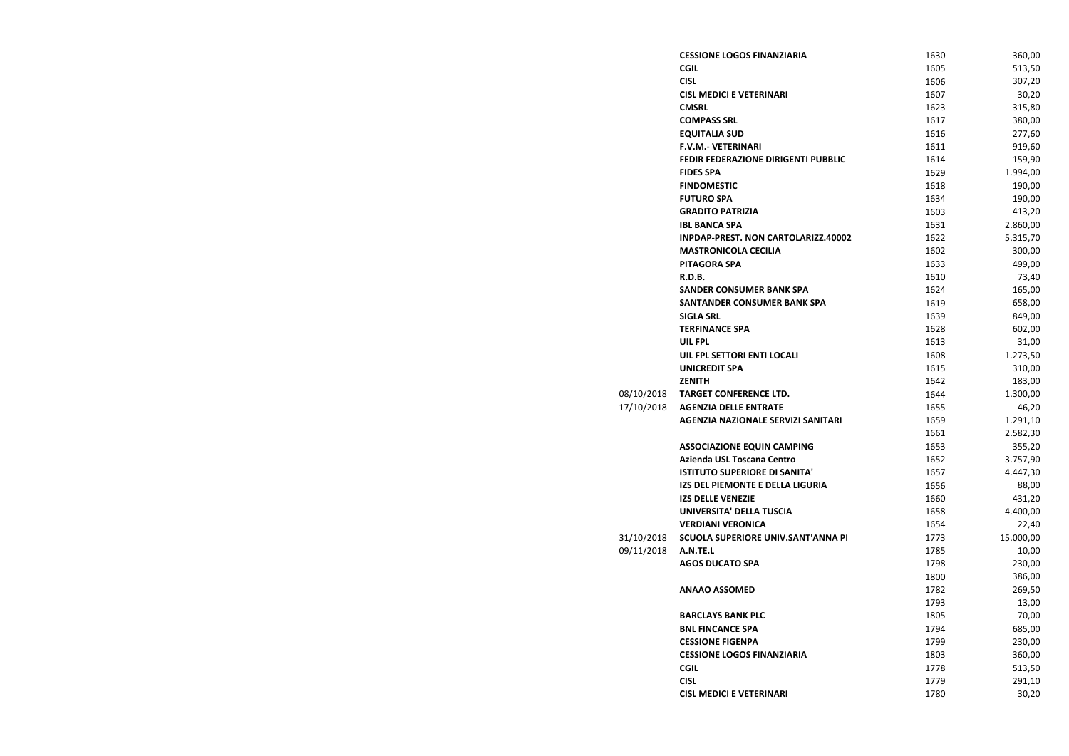|            | <b>CESSIONE LOGOS FINANZIARIA</b>         | 1630 | 360,00    |
|------------|-------------------------------------------|------|-----------|
|            | <b>CGIL</b>                               | 1605 | 513,50    |
|            | <b>CISL</b>                               | 1606 | 307,20    |
|            | <b>CISL MEDICI E VETERINARI</b>           | 1607 | 30,20     |
|            | <b>CMSRL</b>                              | 1623 | 315,80    |
|            | <b>COMPASS SRL</b>                        | 1617 | 380,00    |
|            | <b>EQUITALIA SUD</b>                      | 1616 | 277,60    |
|            | <b>F.V.M.- VETERINARI</b>                 | 1611 | 919,60    |
|            | FEDIR FEDERAZIONE DIRIGENTI PUBBLIC       | 1614 | 159,90    |
|            | <b>FIDES SPA</b>                          | 1629 | 1.994,00  |
|            | <b>FINDOMESTIC</b>                        | 1618 | 190,00    |
|            | <b>FUTURO SPA</b>                         | 1634 | 190,00    |
|            | <b>GRADITO PATRIZIA</b>                   | 1603 | 413,20    |
|            | <b>IBL BANCA SPA</b>                      | 1631 | 2.860,00  |
|            | INPDAP-PREST. NON CARTOLARIZZ.40002       | 1622 | 5.315,70  |
|            | <b>MASTRONICOLA CECILIA</b>               | 1602 | 300,00    |
|            | <b>PITAGORA SPA</b>                       | 1633 | 499,00    |
|            | R.D.B.                                    | 1610 | 73,40     |
|            | <b>SANDER CONSUMER BANK SPA</b>           | 1624 | 165,00    |
|            | <b>SANTANDER CONSUMER BANK SPA</b>        | 1619 | 658,00    |
|            | <b>SIGLA SRL</b>                          | 1639 | 849,00    |
|            | <b>TERFINANCE SPA</b>                     | 1628 | 602,00    |
|            | <b>UIL FPL</b>                            | 1613 | 31,00     |
|            | UIL FPL SETTORI ENTI LOCALI               | 1608 | 1.273,50  |
|            | <b>UNICREDIT SPA</b>                      | 1615 | 310,00    |
|            | <b>ZENITH</b>                             | 1642 | 183,00    |
| 08/10/2018 | <b>TARGET CONFERENCE LTD.</b>             | 1644 | 1.300,00  |
| 17/10/2018 | <b>AGENZIA DELLE ENTRATE</b>              | 1655 | 46,20     |
|            | <b>AGENZIA NAZIONALE SERVIZI SANITARI</b> | 1659 | 1.291,10  |
|            |                                           | 1661 | 2.582,30  |
|            | <b>ASSOCIAZIONE EQUIN CAMPING</b>         | 1653 | 355,20    |
|            | Azienda USL Toscana Centro                | 1652 | 3.757,90  |
|            | <b>ISTITUTO SUPERIORE DI SANITA'</b>      | 1657 | 4.447,30  |
|            | IZS DEL PIEMONTE E DELLA LIGURIA          | 1656 | 88,00     |
|            | <b>IZS DELLE VENEZIE</b>                  | 1660 | 431,20    |
|            | UNIVERSITA' DELLA TUSCIA                  | 1658 | 4.400,00  |
|            | <b>VERDIANI VERONICA</b>                  | 1654 | 22,40     |
| 31/10/2018 | SCUOLA SUPERIORE UNIV.SANT'ANNA PI        | 1773 | 15.000,00 |
| 09/11/2018 | A.N.TE.L                                  | 1785 | 10,00     |
|            | <b>AGOS DUCATO SPA</b>                    | 1798 | 230,00    |
|            |                                           | 1800 | 386,00    |
|            | <b>ANAAO ASSOMED</b>                      | 1782 | 269,50    |
|            |                                           | 1793 | 13,00     |
|            | <b>BARCLAYS BANK PLC</b>                  | 1805 | 70,00     |
|            | <b>BNL FINCANCE SPA</b>                   | 1794 | 685,00    |
|            | <b>CESSIONE FIGENPA</b>                   | 1799 | 230,00    |
|            | <b>CESSIONE LOGOS FINANZIARIA</b>         | 1803 | 360,00    |
|            | <b>CGIL</b>                               | 1778 | 513,50    |
|            | <b>CISL</b>                               | 1779 | 291,10    |
|            | <b>CISL MEDICI E VETERINARI</b>           | 1780 | 30,20     |
|            |                                           |      |           |
|            |                                           |      |           |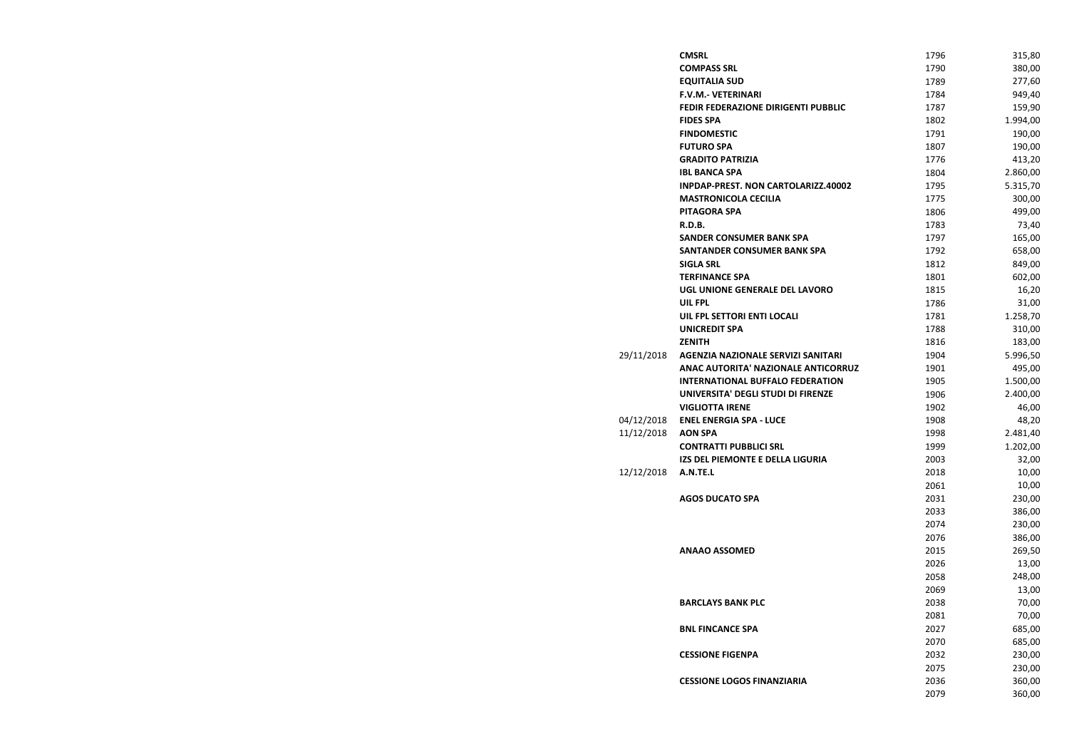|            | <b>CMSRL</b>                               | 1796 | 315,80   |
|------------|--------------------------------------------|------|----------|
|            | <b>COMPASS SRL</b>                         | 1790 | 380,00   |
|            | <b>EQUITALIA SUD</b>                       | 1789 | 277,60   |
|            | <b>F.V.M.- VETERINARI</b>                  | 1784 | 949,40   |
|            | <b>FEDIR FEDERAZIONE DIRIGENTI PUBBLIC</b> | 1787 | 159,90   |
|            | <b>FIDES SPA</b>                           | 1802 | 1.994,00 |
|            | <b>FINDOMESTIC</b>                         | 1791 | 190,00   |
|            | <b>FUTURO SPA</b>                          | 1807 | 190,00   |
|            | <b>GRADITO PATRIZIA</b>                    | 1776 | 413,20   |
|            | <b>IBL BANCA SPA</b>                       | 1804 | 2.860,00 |
|            | INPDAP-PREST. NON CARTOLARIZZ.40002        | 1795 | 5.315,70 |
|            | <b>MASTRONICOLA CECILIA</b>                | 1775 | 300,00   |
|            | <b>PITAGORA SPA</b>                        | 1806 | 499,00   |
|            | R.D.B.                                     | 1783 | 73,40    |
|            | <b>SANDER CONSUMER BANK SPA</b>            | 1797 | 165,00   |
|            | <b>SANTANDER CONSUMER BANK SPA</b>         | 1792 | 658,00   |
|            | <b>SIGLA SRL</b>                           | 1812 | 849,00   |
|            | <b>TERFINANCE SPA</b>                      | 1801 | 602,00   |
|            | UGL UNIONE GENERALE DEL LAVORO             | 1815 | 16,20    |
|            | <b>UIL FPL</b>                             | 1786 | 31,00    |
|            | UIL FPL SETTORI ENTI LOCALI                | 1781 | 1.258,70 |
|            | <b>UNICREDIT SPA</b>                       | 1788 | 310,00   |
|            | <b>ZENITH</b>                              | 1816 | 183,00   |
| 29/11/2018 | <b>AGENZIA NAZIONALE SERVIZI SANITARI</b>  | 1904 | 5.996,50 |
|            | ANAC AUTORITA' NAZIONALE ANTICORRUZ        | 1901 | 495,00   |
|            | <b>INTERNATIONAL BUFFALO FEDERATION</b>    | 1905 | 1.500,00 |
|            | UNIVERSITA' DEGLI STUDI DI FIRENZE         | 1906 | 2.400,00 |
|            | <b>VIGLIOTTA IRENE</b>                     | 1902 | 46,00    |
| 04/12/2018 | <b>ENEL ENERGIA SPA - LUCE</b>             | 1908 | 48,20    |
| 11/12/2018 | <b>AON SPA</b>                             | 1998 | 2.481,40 |
|            | <b>CONTRATTI PUBBLICI SRL</b>              | 1999 | 1.202,00 |
|            | IZS DEL PIEMONTE E DELLA LIGURIA           | 2003 | 32,00    |
| 12/12/2018 | A.N.TE.L                                   | 2018 | 10,00    |
|            |                                            | 2061 | 10,00    |
|            | <b>AGOS DUCATO SPA</b>                     | 2031 | 230,00   |
|            |                                            | 2033 | 386,00   |
|            |                                            | 2074 | 230,00   |
|            |                                            | 2076 | 386,00   |
|            | <b>ANAAO ASSOMED</b>                       | 2015 | 269,50   |
|            |                                            | 2026 | 13,00    |
|            |                                            | 2058 | 248,00   |
|            |                                            | 2069 | 13,00    |
|            | <b>BARCLAYS BANK PLC</b>                   | 2038 | 70,00    |
|            |                                            | 2081 | 70,00    |
|            | <b>BNL FINCANCE SPA</b>                    | 2027 | 685,00   |
|            |                                            | 2070 | 685,00   |
|            | <b>CESSIONE FIGENPA</b>                    | 2032 | 230,00   |
|            |                                            | 2075 | 230,00   |
|            | <b>CESSIONE LOGOS FINANZIARIA</b>          | 2036 | 360,00   |
|            |                                            | 2079 | 360,00   |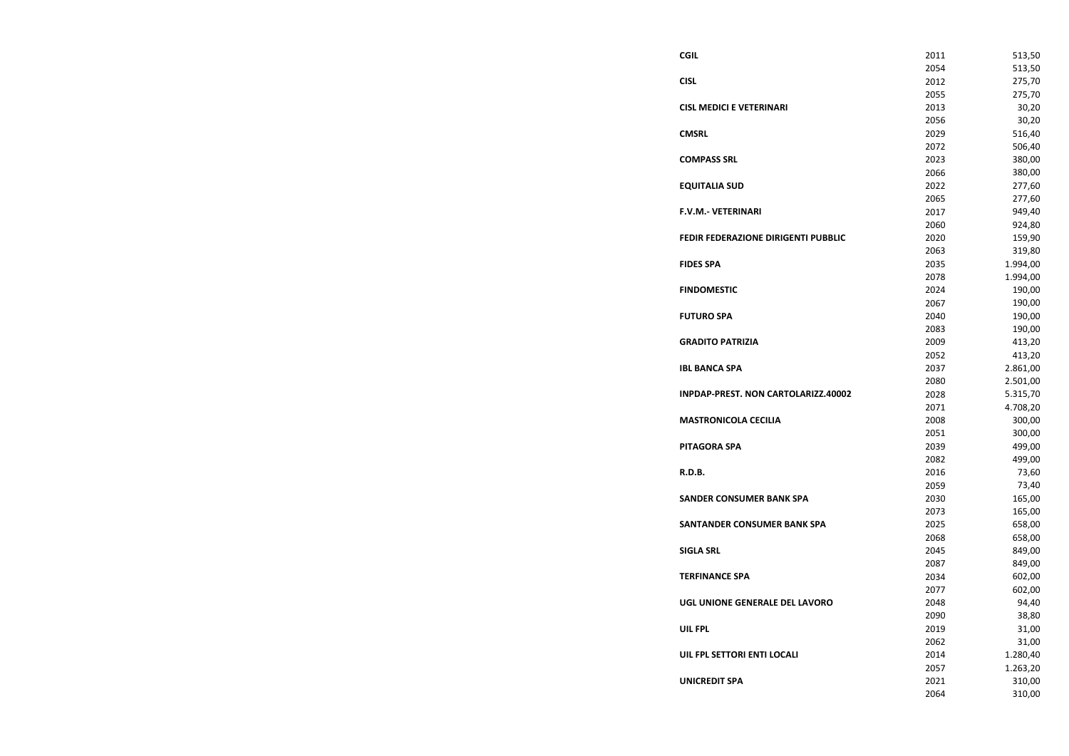**CISL MEDICI E VETERINARI COMPASS SRL EQUITALIA SUD F.V.M.- VETERINARI FEDIR FEDERAZIONE DIRIGENTI FINDOMESTIC FUTURO SPA GRADITO PATRIZIA IBL BANCA SPA INPDAP-PREST. NON CARTOLAR MASTRONICOLA CECILIA PITAGORA SPA SANDER CONSUMER BANK SPA SANTANDER CONSUMER BANK SIGLA SRL TERFINANCE SPA UGL UNIONE GENERALE DEL LAV UIL FPL SETTORI ENTI LOCALI UNICREDIT SPA** 

| <b>CGIL</b>                                | 2011         | 513,50           |
|--------------------------------------------|--------------|------------------|
|                                            | 2054         | 513,50           |
| <b>CISL</b>                                | 2012         | 275,70           |
|                                            | 2055         | 275,70           |
| <b>CISL MEDICI E VETERINARI</b>            | 2013         | 30,20            |
|                                            | 2056         | 30,20            |
| <b>CMSRL</b>                               | 2029         | 516,40           |
|                                            | 2072         | 506,40           |
| <b>COMPASS SRL</b>                         | 2023         | 380,00           |
|                                            | 2066         | 380,00           |
| <b>EQUITALIA SUD</b>                       | 2022         | 277,60           |
|                                            | 2065         | 277,60           |
| F.V.M.- VETERINARI                         | 2017         | 949,40           |
|                                            | 2060         | 924,80           |
| <b>FEDIR FEDERAZIONE DIRIGENTI PUBBLIC</b> | 2020         | 159,90           |
|                                            | 2063         | 319,80           |
| <b>FIDES SPA</b>                           | 2035         | 1.994,00         |
|                                            | 2078         | 1.994,00         |
| <b>FINDOMESTIC</b>                         | 2024         | 190,00           |
|                                            | 2067         | 190,00           |
| <b>FUTURO SPA</b>                          | 2040         | 190,00           |
|                                            | 2083         | 190,00           |
| <b>GRADITO PATRIZIA</b>                    | 2009         | 413,20           |
|                                            | 2052         | 413,20           |
| <b>IBL BANCA SPA</b>                       | 2037         | 2.861,00         |
|                                            | 2080         | 2.501,00         |
| INPDAP-PREST. NON CARTOLARIZZ.40002        | 2028         | 5.315,70         |
|                                            | 2071         | 4.708,20         |
| <b>MASTRONICOLA CECILIA</b>                | 2008         | 300,00           |
|                                            | 2051         | 300,00           |
| PITAGORA SPA                               | 2039         | 499,00           |
|                                            | 2082         | 499,00           |
| R.D.B.                                     | 2016         | 73,60            |
|                                            | 2059         | 73,40            |
| <b>SANDER CONSUMER BANK SPA</b>            | 2030         | 165,00           |
|                                            | 2073         | 165,00           |
| SANTANDER CONSUMER BANK SPA                | 2025         | 658,00           |
|                                            | 2068         | 658,00           |
| <b>SIGLA SRL</b>                           | 2045         | 849,00           |
|                                            | 2087         | 849,00           |
| <b>TERFINANCE SPA</b>                      | 2034<br>2077 | 602,00<br>602,00 |
| UGL UNIONE GENERALE DEL LAVORO             | 2048         | 94,40            |
|                                            | 2090         | 38,80            |
| UIL FPL                                    | 2019         | 31,00            |
|                                            | 2062         | 31,00            |
| UIL FPL SETTORI ENTI LOCALI                | 2014         | 1.280,40         |
|                                            | 2057         | 1.263,20         |
| <b>UNICREDIT SPA</b>                       | 2021         | 310,00           |
|                                            | 2064         | 310,00           |
|                                            |              |                  |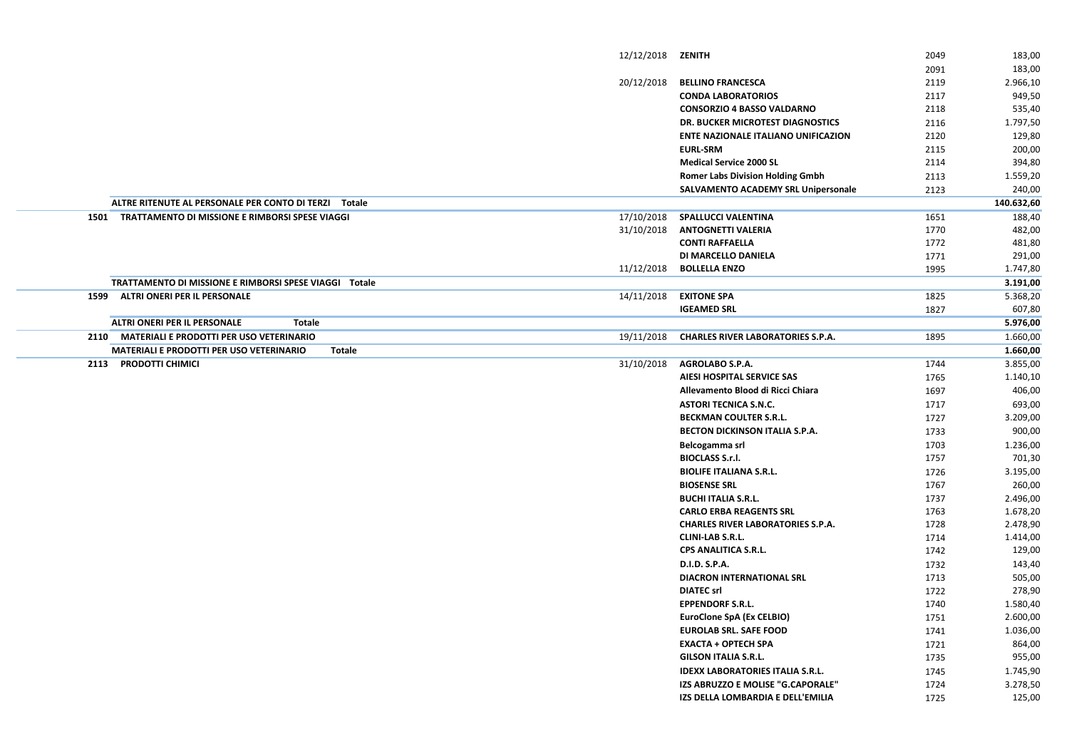|      |                                                                  | 12/12/2018 | ZENITH                                     | 2049         | 183,00               |
|------|------------------------------------------------------------------|------------|--------------------------------------------|--------------|----------------------|
|      |                                                                  |            |                                            | 2091         | 183,00               |
|      |                                                                  | 20/12/2018 | <b>BELLINO FRANCESCA</b>                   | 2119         | 2.966,10             |
|      |                                                                  |            | <b>CONDA LABORATORIOS</b>                  | 2117         | 949,50               |
|      |                                                                  |            | <b>CONSORZIO 4 BASSO VALDARNO</b>          | 2118         | 535,40               |
|      |                                                                  |            | DR. BUCKER MICROTEST DIAGNOSTICS           | 2116         | 1.797,50             |
|      |                                                                  |            | <b>ENTE NAZIONALE ITALIANO UNIFICAZION</b> | 2120         | 129,80               |
|      |                                                                  |            | <b>EURL-SRM</b>                            | 2115         | 200,00               |
|      |                                                                  |            | <b>Medical Service 2000 SL</b>             | 2114         | 394,80               |
|      |                                                                  |            | <b>Romer Labs Division Holding Gmbh</b>    | 2113         | 1.559,20             |
|      |                                                                  |            | <b>SALVAMENTO ACADEMY SRL Unipersonale</b> | 2123         | 240,00               |
|      | ALTRE RITENUTE AL PERSONALE PER CONTO DI TERZI Totale            |            |                                            |              | 140.632,60           |
| 1501 | TRATTAMENTO DI MISSIONE E RIMBORSI SPESE VIAGGI                  | 17/10/2018 | <b>SPALLUCCI VALENTINA</b>                 | 1651         | 188,40               |
|      |                                                                  | 31/10/2018 | <b>ANTOGNETTI VALERIA</b>                  | 1770         | 482,00               |
|      |                                                                  |            | <b>CONTI RAFFAELLA</b>                     | 1772         | 481,80               |
|      |                                                                  |            | <b>DI MARCELLO DANIELA</b>                 | 1771         | 291,00               |
|      |                                                                  | 11/12/2018 | <b>BOLLELLA ENZO</b>                       | 1995         | 1.747,80             |
|      | TRATTAMENTO DI MISSIONE E RIMBORSI SPESE VIAGGI Totale           |            |                                            |              | 3.191,00             |
| 1599 | <b>ALTRI ONERI PER IL PERSONALE</b>                              | 14/11/2018 | <b>EXITONE SPA</b>                         | 1825         | 5.368,20             |
|      |                                                                  |            | <b>IGEAMED SRL</b>                         | 1827         | 607,80               |
|      | <b>ALTRI ONERI PER IL PERSONALE</b><br><b>Totale</b>             |            |                                            |              | 5.976,00             |
| 2110 | <b>MATERIALI E PRODOTTI PER USO VETERINARIO</b>                  | 19/11/2018 | <b>CHARLES RIVER LABORATORIES S.P.A.</b>   | 1895         | 1.660,00             |
|      | <b>MATERIALI E PRODOTTI PER USO VETERINARIO</b><br><b>Totale</b> |            |                                            |              | 1.660,00             |
| 2113 | <b>PRODOTTI CHIMICI</b>                                          | 31/10/2018 | <b>AGROLABO S.P.A.</b>                     | 1744         | 3.855,00             |
|      |                                                                  |            | <b>AIESI HOSPITAL SERVICE SAS</b>          | 1765         | 1.140,10             |
|      |                                                                  |            | Allevamento Blood di Ricci Chiara          | 1697         | 406,00               |
|      |                                                                  |            | <b>ASTORI TECNICA S.N.C.</b>               | 1717         | 693,00               |
|      |                                                                  |            | <b>BECKMAN COULTER S.R.L.</b>              | 1727         | 3.209,00             |
|      |                                                                  |            | <b>BECTON DICKINSON ITALIA S.P.A.</b>      | 1733         | 900,00               |
|      |                                                                  |            |                                            |              | 1.236,00             |
|      |                                                                  |            | Belcogamma srl<br><b>BIOCLASS S.r.l.</b>   | 1703<br>1757 | 701,30               |
|      |                                                                  |            | <b>BIOLIFE ITALIANA S.R.L.</b>             |              | 3.195,00             |
|      |                                                                  |            | <b>BIOSENSE SRL</b>                        | 1726         |                      |
|      |                                                                  |            | <b>BUCHI ITALIA S.R.L.</b>                 | 1767         | 260,00               |
|      |                                                                  |            | <b>CARLO ERBA REAGENTS SRL</b>             | 1737<br>1763 | 2.496,00             |
|      |                                                                  |            | <b>CHARLES RIVER LABORATORIES S.P.A.</b>   | 1728         | 1.678,20<br>2.478,90 |
|      |                                                                  |            | <b>CLINI-LAB S.R.L.</b>                    | 1714         | 1.414,00             |
|      |                                                                  |            | <b>CPS ANALITICA S.R.L.</b>                | 1742         | 129,00               |
|      |                                                                  |            | D.I.D. S.P.A.                              | 1732         | 143,40               |
|      |                                                                  |            | DIACRON INTERNATIONAL SRL                  |              |                      |
|      |                                                                  |            | <b>DIATEC srl</b>                          | 1713<br>1722 | 505,00<br>278,90     |
|      |                                                                  |            | <b>EPPENDORF S.R.L.</b>                    | 1740         | 1.580,40             |
|      |                                                                  |            | <b>EuroClone SpA (Ex CELBIO)</b>           | 1751         | 2.600,00             |
|      |                                                                  |            | <b>EUROLAB SRL. SAFE FOOD</b>              | 1741         | 1.036,00             |
|      |                                                                  |            | <b>EXACTA + OPTECH SPA</b>                 | 1721         |                      |
|      |                                                                  |            | <b>GILSON ITALIA S.R.L.</b>                |              | 864,00<br>955,00     |
|      |                                                                  |            |                                            | 1735         |                      |
|      |                                                                  |            | <b>IDEXX LABORATORIES ITALIA S.R.L.</b>    | 1745         | 1.745,90             |
|      |                                                                  |            | IZS ABRUZZO E MOLISE "G.CAPORALE"          | 1724         | 3.278,50             |
|      |                                                                  |            | IZS DELLA LOMBARDIA E DELL'EMILIA          | 1725         | 125,00               |
|      |                                                                  |            |                                            |              |                      |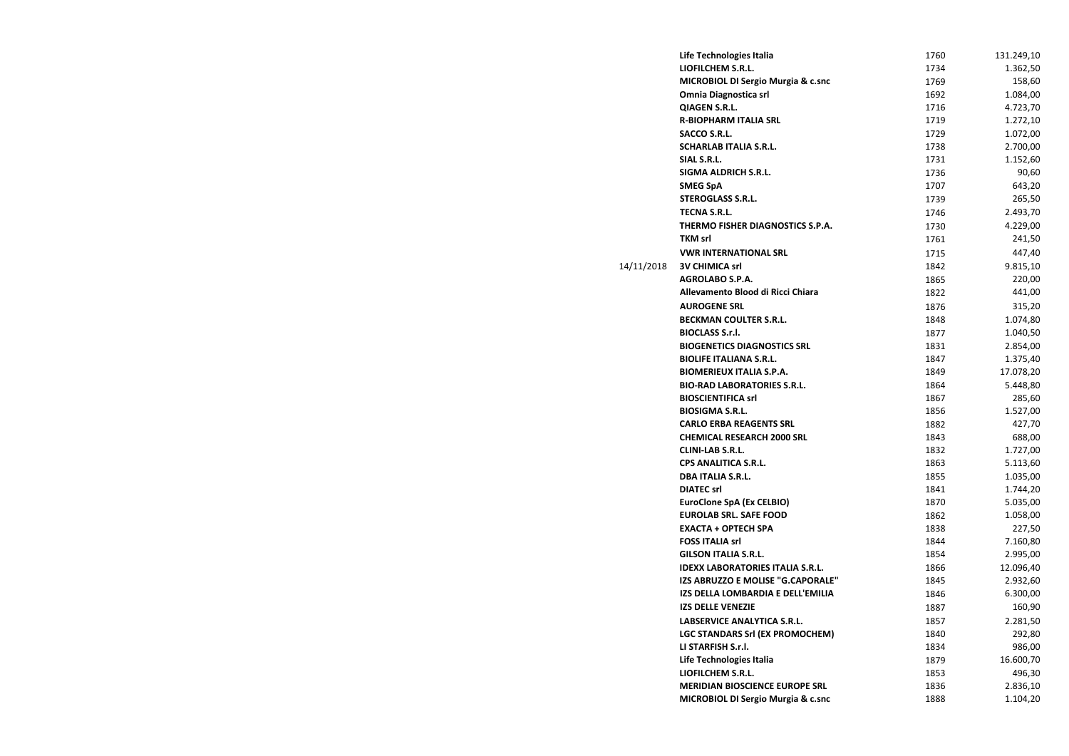|            | Life Technologies Italia                      | 1760 | 131.249,10 |
|------------|-----------------------------------------------|------|------------|
|            | <b>LIOFILCHEM S.R.L.</b>                      | 1734 | 1.362,50   |
|            | <b>MICROBIOL DI Sergio Murgia &amp; c.snc</b> | 1769 | 158,60     |
|            | <b>Omnia Diagnostica srl</b>                  | 1692 | 1.084,00   |
|            | <b>QIAGEN S.R.L.</b>                          | 1716 | 4.723,70   |
|            | <b>R-BIOPHARM ITALIA SRL</b>                  | 1719 | 1.272,10   |
|            | <b>SACCO S.R.L.</b>                           | 1729 | 1.072,00   |
|            | <b>SCHARLAB ITALIA S.R.L.</b>                 | 1738 | 2.700,00   |
|            | SIAL S.R.L.                                   | 1731 | 1.152,60   |
|            | <b>SIGMA ALDRICH S.R.L.</b>                   | 1736 | 90,60      |
|            | <b>SMEG SpA</b>                               | 1707 | 643,20     |
|            | <b>STEROGLASS S.R.L.</b>                      | 1739 | 265,50     |
|            | <b>TECNA S.R.L.</b>                           | 1746 | 2.493,70   |
|            | THERMO FISHER DIAGNOSTICS S.P.A.              | 1730 | 4.229,00   |
|            | <b>TKM srl</b>                                | 1761 | 241,50     |
|            | <b>VWR INTERNATIONAL SRL</b>                  | 1715 | 447,40     |
| 14/11/2018 | <b>3V CHIMICA srl</b>                         | 1842 | 9.815,10   |
|            | <b>AGROLABO S.P.A.</b>                        | 1865 | 220,00     |
|            | Allevamento Blood di Ricci Chiara             | 1822 | 441,00     |
|            | <b>AUROGENE SRL</b>                           | 1876 | 315,20     |
|            | <b>BECKMAN COULTER S.R.L.</b>                 | 1848 | 1.074,80   |
|            | <b>BIOCLASS S.r.l.</b>                        | 1877 | 1.040,50   |
|            | <b>BIOGENETICS DIAGNOSTICS SRL</b>            | 1831 | 2.854,00   |
|            | <b>BIOLIFE ITALIANA S.R.L.</b>                | 1847 | 1.375,40   |
|            | <b>BIOMERIEUX ITALIA S.P.A.</b>               | 1849 | 17.078,20  |
|            | <b>BIO-RAD LABORATORIES S.R.L.</b>            | 1864 | 5.448,80   |
|            | <b>BIOSCIENTIFICA srl</b>                     | 1867 | 285,60     |
|            | <b>BIOSIGMA S.R.L.</b>                        | 1856 | 1.527,00   |
|            | <b>CARLO ERBA REAGENTS SRL</b>                | 1882 | 427,70     |
|            | <b>CHEMICAL RESEARCH 2000 SRL</b>             | 1843 | 688,00     |
|            | <b>CLINI-LAB S.R.L.</b>                       | 1832 | 1.727,00   |
|            | <b>CPS ANALITICA S.R.L.</b>                   | 1863 | 5.113,60   |
|            | <b>DBA ITALIA S.R.L.</b>                      | 1855 | 1.035,00   |
|            | <b>DIATEC srl</b>                             | 1841 | 1.744,20   |
|            | <b>EuroClone SpA (Ex CELBIO)</b>              | 1870 | 5.035,00   |
|            | <b>EUROLAB SRL. SAFE FOOD</b>                 | 1862 | 1.058,00   |
|            | <b>EXACTA + OPTECH SPA</b>                    | 1838 | 227,50     |
|            | <b>FOSS ITALIA srl</b>                        | 1844 | 7.160,80   |
|            | <b>GILSON ITALIA S.R.L.</b>                   | 1854 | 2.995,00   |
|            | <b>IDEXX LABORATORIES ITALIA S.R.L.</b>       | 1866 | 12.096,40  |
|            | IZS ABRUZZO E MOLISE "G.CAPORALE"             | 1845 | 2.932,60   |
|            | IZS DELLA LOMBARDIA E DELL'EMILIA             | 1846 | 6.300,00   |
|            | <b>IZS DELLE VENEZIE</b>                      | 1887 | 160,90     |
|            | <b>LABSERVICE ANALYTICA S.R.L.</b>            | 1857 | 2.281,50   |
|            | <b>LGC STANDARS Srl (EX PROMOCHEM)</b>        | 1840 | 292,80     |
|            | LI STARFISH S.r.l.                            | 1834 | 986,00     |
|            | Life Technologies Italia                      | 1879 | 16.600,70  |
|            | LIOFILCHEM S.R.L.                             | 1853 | 496,30     |
|            | <b>MERIDIAN BIOSCIENCE EUROPE SRL</b>         | 1836 | 2.836,10   |
|            | <b>MICROBIOL DI Sergio Murgia &amp; c.snc</b> | 1888 | 1.104,20   |
|            |                                               |      |            |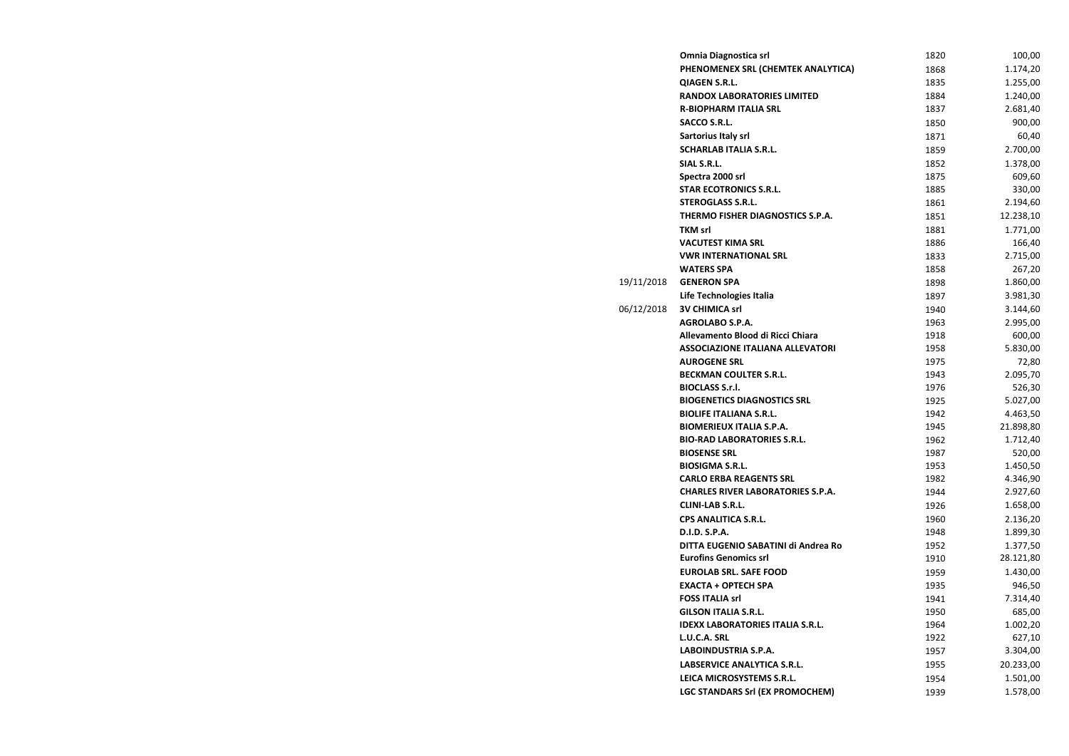|            | <b>Omnia Diagnostica srl</b>             | 1820 | 100,00    |
|------------|------------------------------------------|------|-----------|
|            | PHENOMENEX SRL (CHEMTEK ANALYTICA)       | 1868 | 1.174,20  |
|            | <b>QIAGEN S.R.L.</b>                     | 1835 | 1.255,00  |
|            | <b>RANDOX LABORATORIES LIMITED</b>       | 1884 | 1.240,00  |
|            | <b>R-BIOPHARM ITALIA SRL</b>             | 1837 | 2.681,40  |
|            | <b>SACCO S.R.L.</b>                      | 1850 | 900,00    |
|            | <b>Sartorius Italy srl</b>               | 1871 | 60,40     |
|            | <b>SCHARLAB ITALIA S.R.L.</b>            | 1859 | 2.700,00  |
|            | SIAL S.R.L.                              | 1852 | 1.378,00  |
|            | Spectra 2000 srl                         | 1875 | 609,60    |
|            | <b>STAR ECOTRONICS S.R.L.</b>            | 1885 | 330,00    |
|            | <b>STEROGLASS S.R.L.</b>                 | 1861 | 2.194,60  |
|            | THERMO FISHER DIAGNOSTICS S.P.A.         | 1851 | 12.238,10 |
|            | <b>TKM srl</b>                           | 1881 | 1.771,00  |
|            | <b>VACUTEST KIMA SRL</b>                 | 1886 | 166,40    |
|            | <b>VWR INTERNATIONAL SRL</b>             | 1833 | 2.715,00  |
|            | <b>WATERS SPA</b>                        | 1858 | 267,20    |
| 19/11/2018 | <b>GENERON SPA</b>                       | 1898 | 1.860,00  |
|            | Life Technologies Italia                 | 1897 | 3.981,30  |
| 06/12/2018 | <b>3V CHIMICA srl</b>                    | 1940 | 3.144,60  |
|            | <b>AGROLABO S.P.A.</b>                   | 1963 | 2.995,00  |
|            | Allevamento Blood di Ricci Chiara        | 1918 | 600,00    |
|            | <b>ASSOCIAZIONE ITALIANA ALLEVATORI</b>  | 1958 | 5.830,00  |
|            | <b>AUROGENE SRL</b>                      | 1975 | 72,80     |
|            | <b>BECKMAN COULTER S.R.L.</b>            | 1943 | 2.095,70  |
|            | <b>BIOCLASS S.r.l.</b>                   | 1976 | 526,30    |
|            | <b>BIOGENETICS DIAGNOSTICS SRL</b>       | 1925 | 5.027,00  |
|            | <b>BIOLIFE ITALIANA S.R.L.</b>           | 1942 | 4.463,50  |
|            | <b>BIOMERIEUX ITALIA S.P.A.</b>          | 1945 | 21.898,80 |
|            | <b>BIO-RAD LABORATORIES S.R.L.</b>       | 1962 | 1.712,40  |
|            | <b>BIOSENSE SRL</b>                      | 1987 | 520,00    |
|            | <b>BIOSIGMA S.R.L.</b>                   | 1953 | 1.450,50  |
|            | <b>CARLO ERBA REAGENTS SRL</b>           | 1982 | 4.346,90  |
|            | <b>CHARLES RIVER LABORATORIES S.P.A.</b> | 1944 | 2.927,60  |
|            | <b>CLINI-LAB S.R.L.</b>                  | 1926 | 1.658,00  |
|            | <b>CPS ANALITICA S.R.L.</b>              | 1960 | 2.136,20  |
|            | D.I.D. S.P.A.                            | 1948 | 1.899,30  |
|            | DITTA EUGENIO SABATINI di Andrea Ro      | 1952 | 1.377,50  |
|            | <b>Eurofins Genomics srl</b>             | 1910 | 28.121,80 |
|            | <b>EUROLAB SRL. SAFE FOOD</b>            | 1959 | 1.430,00  |
|            | <b>EXACTA + OPTECH SPA</b>               | 1935 | 946,50    |
|            | <b>FOSS ITALIA srl</b>                   | 1941 | 7.314,40  |
|            | <b>GILSON ITALIA S.R.L.</b>              | 1950 | 685,00    |
|            | <b>IDEXX LABORATORIES ITALIA S.R.L.</b>  | 1964 | 1.002,20  |
|            | L.U.C.A. SRL                             | 1922 | 627,10    |
|            | LABOINDUSTRIA S.P.A.                     | 1957 | 3.304,00  |
|            | LABSERVICE ANALYTICA S.R.L.              | 1955 | 20.233,00 |
|            | LEICA MICROSYSTEMS S.R.L.                | 1954 | 1.501,00  |
|            | <b>LGC STANDARS Srl (EX PROMOCHEM)</b>   | 1939 | 1.578,00  |
|            |                                          |      |           |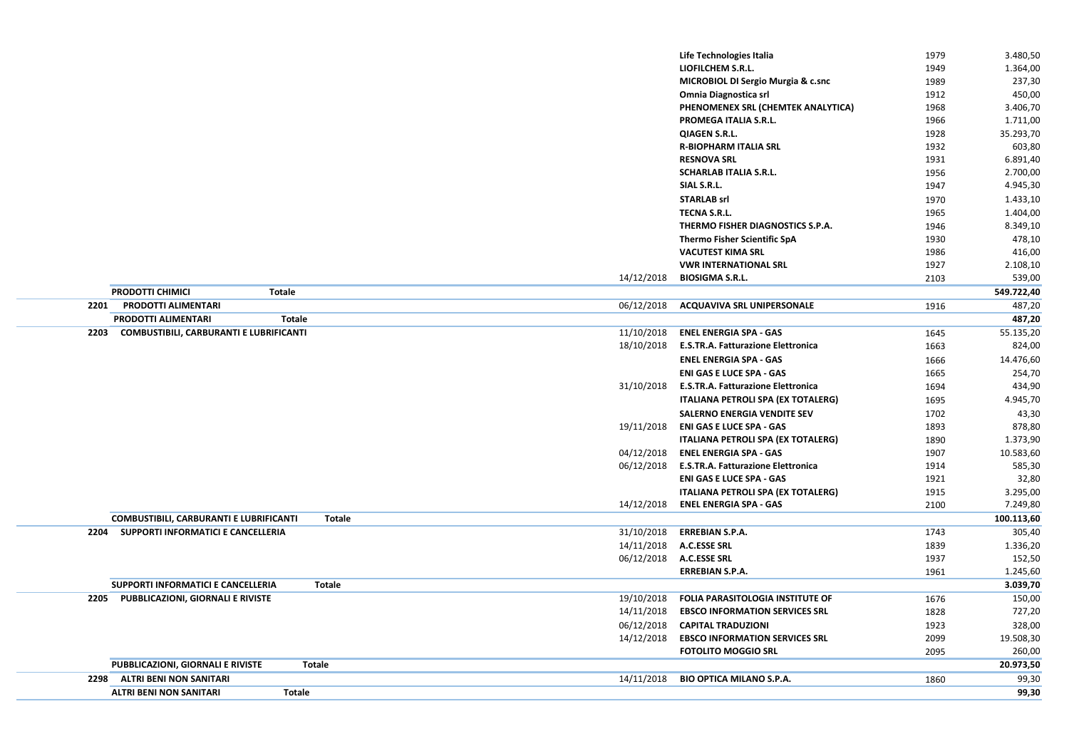|      |                                                                 |            | Life Technologies Italia                  | 1979 | 3.480,50             |
|------|-----------------------------------------------------------------|------------|-------------------------------------------|------|----------------------|
|      |                                                                 |            | <b>LIOFILCHEM S.R.L.</b>                  | 1949 | 1.364,00             |
|      |                                                                 |            | MICROBIOL DI Sergio Murgia & c.snc        | 1989 | 237,30               |
|      |                                                                 |            | <b>Omnia Diagnostica srl</b>              | 1912 | 450,00               |
|      |                                                                 |            | PHENOMENEX SRL (CHEMTEK ANALYTICA)        | 1968 | 3.406,70             |
|      |                                                                 |            | <b>PROMEGA ITALIA S.R.L.</b>              | 1966 | 1.711,00             |
|      |                                                                 |            | <b>QIAGEN S.R.L.</b>                      | 1928 | 35.293,70            |
|      |                                                                 |            | <b>R-BIOPHARM ITALIA SRL</b>              | 1932 | 603,80               |
|      |                                                                 |            | <b>RESNOVA SRL</b>                        | 1931 | 6.891,40             |
|      |                                                                 |            | <b>SCHARLAB ITALIA S.R.L.</b>             | 1956 | 2.700,00             |
|      |                                                                 |            | SIAL S.R.L.                               | 1947 | 4.945,30             |
|      |                                                                 |            | <b>STARLAB srl</b>                        | 1970 | 1.433,10             |
|      |                                                                 |            | <b>TECNA S.R.L.</b>                       | 1965 | 1.404,00             |
|      |                                                                 |            | THERMO FISHER DIAGNOSTICS S.P.A.          | 1946 | 8.349,10             |
|      |                                                                 |            | <b>Thermo Fisher Scientific SpA</b>       | 1930 | 478,10               |
|      |                                                                 |            | <b>VACUTEST KIMA SRL</b>                  | 1986 | 416,00               |
|      |                                                                 |            | <b>VWR INTERNATIONAL SRL</b>              | 1927 | 2.108,10             |
|      |                                                                 | 14/12/2018 | <b>BIOSIGMA S.R.L.</b>                    | 2103 | 539,00               |
|      | <b>PRODOTTI CHIMICI</b><br><b>Totale</b>                        |            |                                           |      |                      |
| 2201 | <b>PRODOTTI ALIMENTARI</b>                                      | 06/12/2018 | <b>ACQUAVIVA SRL UNIPERSONALE</b>         |      | 549.722,40<br>487,20 |
|      | <b>PRODOTTI ALIMENTARI</b>                                      |            |                                           | 1916 | 487,20               |
|      | <b>Totale</b>                                                   |            |                                           |      |                      |
| 2203 | <b>COMBUSTIBILI, CARBURANTI E LUBRIFICANTI</b>                  | 11/10/2018 | <b>ENEL ENERGIA SPA - GAS</b>             | 1645 | 55.135,20            |
|      |                                                                 | 18/10/2018 | <b>E.S.TR.A. Fatturazione Elettronica</b> | 1663 | 824,00               |
|      |                                                                 |            | <b>ENEL ENERGIA SPA - GAS</b>             | 1666 | 14.476,60            |
|      |                                                                 |            | <b>ENI GAS E LUCE SPA - GAS</b>           | 1665 | 254,70               |
|      |                                                                 | 31/10/2018 | <b>E.S.TR.A. Fatturazione Elettronica</b> | 1694 | 434,90               |
|      |                                                                 |            | <b>ITALIANA PETROLI SPA (EX TOTALERG)</b> | 1695 | 4.945,70             |
|      |                                                                 |            | <b>SALERNO ENERGIA VENDITE SEV</b>        | 1702 | 43,30                |
|      |                                                                 | 19/11/2018 | <b>ENI GAS E LUCE SPA - GAS</b>           | 1893 | 878,80               |
|      |                                                                 |            | <b>ITALIANA PETROLI SPA (EX TOTALERG)</b> | 1890 | 1.373,90             |
|      |                                                                 | 04/12/2018 | <b>ENEL ENERGIA SPA - GAS</b>             | 1907 | 10.583,60            |
|      |                                                                 | 06/12/2018 | <b>E.S.TR.A. Fatturazione Elettronica</b> | 1914 | 585,30               |
|      |                                                                 |            | <b>ENI GAS E LUCE SPA - GAS</b>           | 1921 | 32,80                |
|      |                                                                 |            | <b>ITALIANA PETROLI SPA (EX TOTALERG)</b> | 1915 | 3.295,00             |
|      |                                                                 | 14/12/2018 | <b>ENEL ENERGIA SPA - GAS</b>             | 2100 | 7.249,80             |
|      | <b>COMBUSTIBILI, CARBURANTI E LUBRIFICANTI</b><br><b>Totale</b> |            |                                           |      | 100.113,60           |
|      | 2204 SUPPORTI INFORMATICI E CANCELLERIA                         | 31/10/2018 | <b>ERREBIAN S.P.A.</b>                    | 1743 | 305,40               |
|      |                                                                 | 14/11/2018 | <b>A.C.ESSE SRL</b>                       | 1839 | 1.336,20             |
|      |                                                                 | 06/12/2018 | <b>A.C.ESSE SRL</b>                       | 1937 | 152,50               |
|      |                                                                 |            | <b>ERREBIAN S.P.A.</b>                    | 1961 | 1.245,60             |
|      | SUPPORTI INFORMATICI E CANCELLERIA<br><b>Totale</b>             |            |                                           |      | 3.039,70             |
|      | 2205 PUBBLICAZIONI, GIORNALI E RIVISTE                          | 19/10/2018 | <b>FOLIA PARASITOLOGIA INSTITUTE OF</b>   | 1676 | 150,00               |
|      |                                                                 | 14/11/2018 | <b>EBSCO INFORMATION SERVICES SRL</b>     | 1828 | 727,20               |
|      |                                                                 | 06/12/2018 | <b>CAPITAL TRADUZIONI</b>                 | 1923 | 328,00               |
|      |                                                                 | 14/12/2018 | <b>EBSCO INFORMATION SERVICES SRL</b>     | 2099 | 19.508,30            |
|      |                                                                 |            | <b>FOTOLITO MOGGIO SRL</b>                | 2095 | 260,00               |
|      | <b>PUBBLICAZIONI, GIORNALI E RIVISTE</b><br><b>Totale</b>       |            |                                           |      | 20.973,50            |
| 2298 | <b>ALTRI BENI NON SANITARI</b>                                  | 14/11/2018 | <b>BIO OPTICA MILANO S.P.A.</b>           | 1860 | 99,30                |
|      |                                                                 |            |                                           |      |                      |
|      | <b>ALTRI BENI NON SANITARI</b><br><b>Totale</b>                 |            |                                           |      | 99,30                |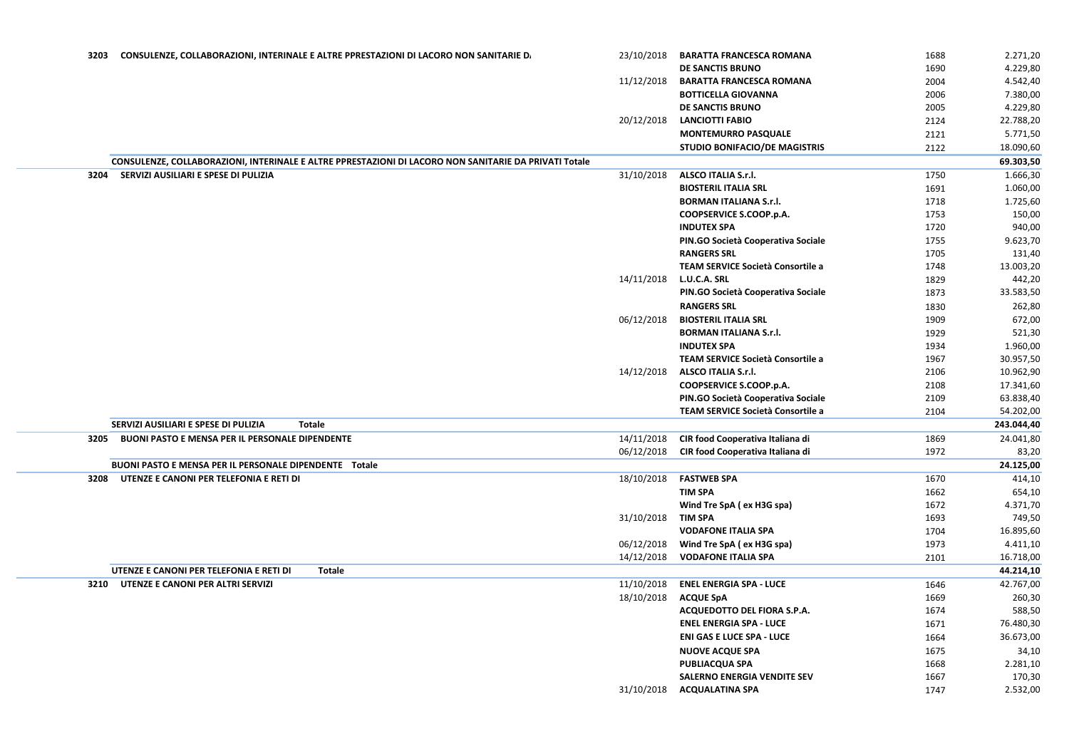| 3203 | CONSULENZE, COLLABORAZIONI, INTERINALE E ALTRE PPRESTAZIONI DI LACORO NON SANITARIE D.                | 23/10/2018 | <b>BARATTA FRANCESCA ROMANA</b>             | 1688 | 2.271,20   |
|------|-------------------------------------------------------------------------------------------------------|------------|---------------------------------------------|------|------------|
|      |                                                                                                       |            | <b>DE SANCTIS BRUNO</b>                     | 1690 | 4.229,80   |
|      |                                                                                                       | 11/12/2018 | <b>BARATTA FRANCESCA ROMANA</b>             | 2004 | 4.542,40   |
|      |                                                                                                       |            | <b>BOTTICELLA GIOVANNA</b>                  | 2006 | 7.380,00   |
|      |                                                                                                       |            | DE SANCTIS BRUNO                            | 2005 | 4.229,80   |
|      |                                                                                                       | 20/12/2018 | <b>LANCIOTTI FABIO</b>                      | 2124 | 22.788,20  |
|      |                                                                                                       |            | <b>MONTEMURRO PASQUALE</b>                  | 2121 | 5.771,50   |
|      |                                                                                                       |            | <b>STUDIO BONIFACIO/DE MAGISTRIS</b>        | 2122 | 18.090,60  |
|      | CONSULENZE, COLLABORAZIONI, INTERINALE E ALTRE PPRESTAZIONI DI LACORO NON SANITARIE DA PRIVATI Totale |            |                                             |      | 69.303,50  |
| 3204 | SERVIZI AUSILIARI E SPESE DI PULIZIA                                                                  | 31/10/2018 | <b>ALSCO ITALIA S.r.l.</b>                  | 1750 | 1.666,30   |
|      |                                                                                                       |            | <b>BIOSTERIL ITALIA SRL</b>                 | 1691 | 1.060,00   |
|      |                                                                                                       |            | <b>BORMAN ITALIANA S.r.l.</b>               | 1718 | 1.725,60   |
|      |                                                                                                       |            | COOPSERVICE S.COOP.p.A.                     | 1753 | 150,00     |
|      |                                                                                                       |            | <b>INDUTEX SPA</b>                          | 1720 | 940,00     |
|      |                                                                                                       |            | PIN.GO Società Cooperativa Sociale          | 1755 | 9.623,70   |
|      |                                                                                                       |            | <b>RANGERS SRL</b>                          |      |            |
|      |                                                                                                       |            | TEAM SERVICE Società Consortile a           | 1705 | 131,40     |
|      |                                                                                                       |            |                                             | 1748 | 13.003,20  |
|      |                                                                                                       | 14/11/2018 | L.U.C.A. SRL                                | 1829 | 442,20     |
|      |                                                                                                       |            | PIN.GO Società Cooperativa Sociale          | 1873 | 33.583,50  |
|      |                                                                                                       |            | <b>RANGERS SRL</b>                          | 1830 | 262,80     |
|      |                                                                                                       | 06/12/2018 | <b>BIOSTERIL ITALIA SRL</b>                 | 1909 | 672,00     |
|      |                                                                                                       |            | <b>BORMAN ITALIANA S.r.l.</b>               | 1929 | 521,30     |
|      |                                                                                                       |            | <b>INDUTEX SPA</b>                          | 1934 | 1.960,00   |
|      |                                                                                                       |            | TEAM SERVICE Società Consortile a           | 1967 | 30.957,50  |
|      |                                                                                                       | 14/12/2018 | ALSCO ITALIA S.r.l.                         | 2106 | 10.962,90  |
|      |                                                                                                       |            | <b>COOPSERVICE S.COOP.p.A.</b>              | 2108 | 17.341,60  |
|      |                                                                                                       |            | PIN.GO Società Cooperativa Sociale          | 2109 | 63.838,40  |
|      |                                                                                                       |            | TEAM SERVICE Società Consortile a           | 2104 | 54.202,00  |
|      | SERVIZI AUSILIARI E SPESE DI PULIZIA<br><b>Totale</b>                                                 |            |                                             |      | 243.044,40 |
| 3205 | <b>BUONI PASTO E MENSA PER IL PERSONALE DIPENDENTE</b>                                                | 14/11/2018 | CIR food Cooperativa Italiana di            | 1869 | 24.041,80  |
|      |                                                                                                       |            | 06/12/2018 CIR food Cooperativa Italiana di | 1972 | 83,20      |
|      | <b>BUONI PASTO E MENSA PER IL PERSONALE DIPENDENTE Totale</b>                                         |            |                                             |      | 24.125,00  |
| 3208 | UTENZE E CANONI PER TELEFONIA E RETI DI                                                               | 18/10/2018 | <b>FASTWEB SPA</b>                          | 1670 | 414,10     |
|      |                                                                                                       |            | <b>TIM SPA</b>                              | 1662 | 654,10     |
|      |                                                                                                       |            | Wind Tre SpA (ex H3G spa)                   | 1672 | 4.371,70   |
|      |                                                                                                       | 31/10/2018 | <b>TIM SPA</b>                              | 1693 | 749,50     |
|      |                                                                                                       |            | <b>VODAFONE ITALIA SPA</b>                  | 1704 | 16.895,60  |
|      |                                                                                                       | 06/12/2018 | Wind Tre SpA (ex H3G spa)                   | 1973 | 4.411,10   |
|      |                                                                                                       | 14/12/2018 | <b>VODAFONE ITALIA SPA</b>                  | 2101 | 16.718,00  |
|      | UTENZE E CANONI PER TELEFONIA E RETI DI<br><b>Totale</b>                                              |            |                                             |      | 44.214,10  |
| 3210 | UTENZE E CANONI PER ALTRI SERVIZI                                                                     | 11/10/2018 | <b>ENEL ENERGIA SPA - LUCE</b>              | 1646 | 42.767,00  |
|      |                                                                                                       | 18/10/2018 | <b>ACQUE SpA</b>                            | 1669 | 260,30     |
|      |                                                                                                       |            | <b>ACQUEDOTTO DEL FIORA S.P.A.</b>          | 1674 | 588,50     |
|      |                                                                                                       |            | <b>ENEL ENERGIA SPA - LUCE</b>              | 1671 | 76.480,30  |
|      |                                                                                                       |            | <b>ENI GAS E LUCE SPA - LUCE</b>            | 1664 | 36.673,00  |
|      |                                                                                                       |            | <b>NUOVE ACQUE SPA</b>                      | 1675 | 34,10      |
|      |                                                                                                       |            |                                             |      |            |
|      |                                                                                                       |            | <b>PUBLIACQUA SPA</b>                       | 1668 | 2.281,10   |
|      |                                                                                                       |            | <b>SALERNO ENERGIA VENDITE SEV</b>          | 1667 | 170,30     |
|      |                                                                                                       | 31/10/2018 | <b>ACQUALATINA SPA</b>                      | 1747 | 2.532,00   |
|      |                                                                                                       |            |                                             |      |            |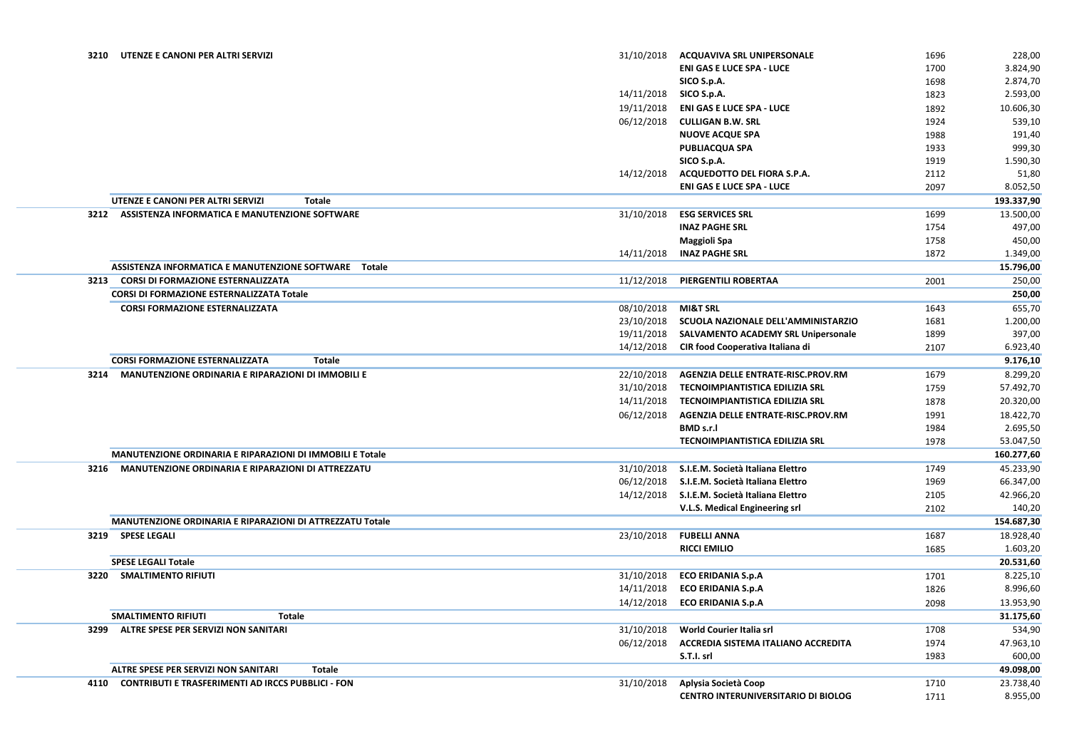| 3210 | UTENZE E CANONI PER ALTRI SERVIZI                                | 31/10/2018 | <b>ACQUAVIVA SRL UNIPERSONALE</b>          | 1696 | 228,00     |
|------|------------------------------------------------------------------|------------|--------------------------------------------|------|------------|
|      |                                                                  |            | <b>ENI GAS E LUCE SPA - LUCE</b>           | 1700 | 3.824,90   |
|      |                                                                  |            | SICO S.p.A.                                | 1698 | 2.874,70   |
|      |                                                                  | 14/11/2018 | SICO S.p.A.                                | 1823 | 2.593,00   |
|      |                                                                  | 19/11/2018 | <b>ENI GAS E LUCE SPA - LUCE</b>           | 1892 | 10.606,30  |
|      |                                                                  | 06/12/2018 | <b>CULLIGAN B.W. SRL</b>                   | 1924 | 539,10     |
|      |                                                                  |            | <b>NUOVE ACQUE SPA</b>                     | 1988 | 191,40     |
|      |                                                                  |            | <b>PUBLIACQUA SPA</b>                      | 1933 | 999,30     |
|      |                                                                  |            | SICO S.p.A.                                | 1919 | 1.590,30   |
|      |                                                                  | 14/12/2018 | ACQUEDOTTO DEL FIORA S.P.A.                | 2112 | 51,80      |
|      |                                                                  |            | <b>ENI GAS E LUCE SPA - LUCE</b>           | 2097 | 8.052,50   |
|      | UTENZE E CANONI PER ALTRI SERVIZI<br><b>Totale</b>               |            |                                            |      | 193.337,90 |
| 3212 | <b>ASSISTENZA INFORMATICA E MANUTENZIONE SOFTWARE</b>            | 31/10/2018 | <b>ESG SERVICES SRL</b>                    | 1699 | 13.500,00  |
|      |                                                                  |            | <b>INAZ PAGHE SRL</b>                      | 1754 | 497,00     |
|      |                                                                  |            |                                            |      |            |
|      |                                                                  |            | <b>Maggioli Spa</b>                        | 1758 | 450,00     |
|      |                                                                  | 14/11/2018 | <b>INAZ PAGHE SRL</b>                      | 1872 | 1.349,00   |
|      | ASSISTENZA INFORMATICA E MANUTENZIONE SOFTWARE  Totale           |            |                                            |      | 15.796,00  |
| 3213 | <b>CORSI DI FORMAZIONE ESTERNALIZZATA</b>                        | 11/12/2018 | <b>PIERGENTILI ROBERTAA</b>                | 2001 | 250,00     |
|      | <b>CORSI DI FORMAZIONE ESTERNALIZZATA Totale</b>                 |            |                                            |      | 250,00     |
|      | <b>CORSI FORMAZIONE ESTERNALIZZATA</b>                           | 08/10/2018 | <b>MI&amp;T SRL</b>                        | 1643 | 655,70     |
|      |                                                                  | 23/10/2018 | SCUOLA NAZIONALE DELL'AMMINISTARZIO        | 1681 | 1.200,00   |
|      |                                                                  | 19/11/2018 | <b>SALVAMENTO ACADEMY SRL Unipersonale</b> | 1899 | 397,00     |
|      |                                                                  | 14/12/2018 | CIR food Cooperativa Italiana di           | 2107 | 6.923,40   |
|      | <b>CORSI FORMAZIONE ESTERNALIZZATA</b><br><b>Totale</b>          |            |                                            |      | 9.176,10   |
| 3214 | <b>MANUTENZIONE ORDINARIA E RIPARAZIONI DI IMMOBILI E</b>        | 22/10/2018 | AGENZIA DELLE ENTRATE-RISC.PROV.RM         | 1679 | 8.299,20   |
|      |                                                                  | 31/10/2018 | <b>TECNOIMPIANTISTICA EDILIZIA SRL</b>     | 1759 | 57.492,70  |
|      |                                                                  | 14/11/2018 | <b>TECNOIMPIANTISTICA EDILIZIA SRL</b>     | 1878 | 20.320,00  |
|      |                                                                  | 06/12/2018 | AGENZIA DELLE ENTRATE-RISC.PROV.RM         | 1991 | 18.422,70  |
|      |                                                                  |            | <b>BMD s.r.l</b>                           | 1984 | 2.695,50   |
|      |                                                                  |            | <b>TECNOIMPIANTISTICA EDILIZIA SRL</b>     | 1978 | 53.047,50  |
|      | <b>MANUTENZIONE ORDINARIA E RIPARAZIONI DI IMMOBILI E Totale</b> |            |                                            |      | 160.277,60 |
| 3216 | <b>MANUTENZIONE ORDINARIA E RIPARAZIONI DI ATTREZZATU</b>        | 31/10/2018 | S.I.E.M. Società Italiana Elettro          | 1749 | 45.233,90  |
|      |                                                                  | 06/12/2018 | S.I.E.M. Società Italiana Elettro          | 1969 | 66.347,00  |
|      |                                                                  | 14/12/2018 | S.I.E.M. Società Italiana Elettro          | 2105 | 42.966,20  |
|      |                                                                  |            | V.L.S. Medical Engineering srl             | 2102 | 140,20     |
|      | MANUTENZIONE ORDINARIA E RIPARAZIONI DI ATTREZZATU Totale        |            |                                            |      | 154.687,30 |
|      | 3219 SPESE LEGALI                                                | 23/10/2018 | <b>FUBELLI ANNA</b>                        | 1687 | 18.928,40  |
|      |                                                                  |            | <b>RICCI EMILIO</b>                        | 1685 | 1.603,20   |
|      | <b>SPESE LEGALI Totale</b>                                       |            |                                            |      | 20.531,60  |
|      | 3220 SMALTIMENTO RIFIUTI                                         | 31/10/2018 | <b>ECO ERIDANIA S.p.A</b>                  | 1701 | 8.225,10   |
|      |                                                                  | 14/11/2018 | <b>ECO ERIDANIA S.p.A</b>                  | 1826 | 8.996,60   |
|      |                                                                  | 14/12/2018 | <b>ECO ERIDANIA S.p.A</b>                  |      | 13.953,90  |
|      | <b>SMALTIMENTO RIFIUTI</b><br><b>Totale</b>                      |            |                                            | 2098 |            |
|      |                                                                  |            |                                            |      | 31.175,60  |
| 3299 | <b>ALTRE SPESE PER SERVIZI NON SANITARI</b>                      | 31/10/2018 | <b>World Courier Italia srl</b>            | 1708 | 534,90     |
|      |                                                                  | 06/12/2018 | <b>ACCREDIA SISTEMA ITALIANO ACCREDITA</b> | 1974 | 47.963,10  |
|      |                                                                  |            | S.T.I. srl                                 | 1983 | 600,00     |
|      | <b>ALTRE SPESE PER SERVIZI NON SANITARI</b><br><b>Totale</b>     |            |                                            |      | 49.098,00  |
| 4110 | <b>CONTRIBUTI E TRASFERIMENTI AD IRCCS PUBBLICI - FON</b>        | 31/10/2018 | Aplysia Società Coop                       | 1710 | 23.738,40  |
|      |                                                                  |            | <b>CENTRO INTERUNIVERSITARIO DI BIOLOG</b> | 1711 | 8.955,00   |
|      |                                                                  |            |                                            |      |            |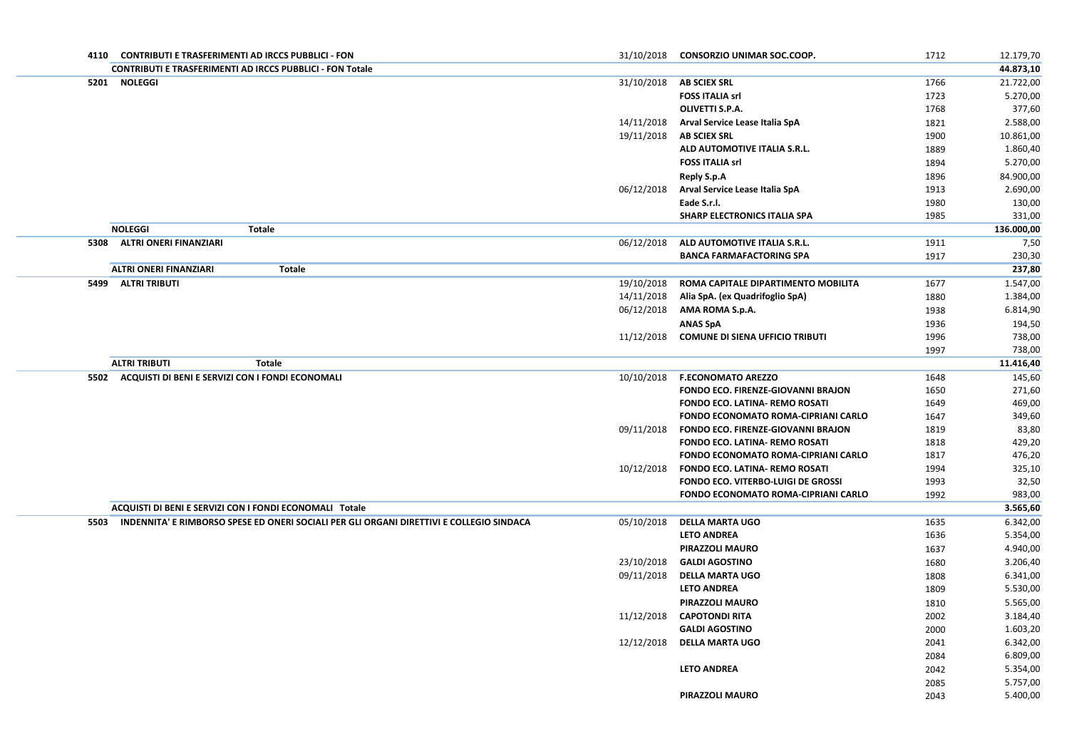| 4110 | <b>CONTRIBUTI E TRASFERIMENTI AD IRCCS PUBBLICI - FON</b>                                |            | 31/10/2018 CONSORZIO UNIMAR SOC.COOP.      | 1712 | 12.179,70  |
|------|------------------------------------------------------------------------------------------|------------|--------------------------------------------|------|------------|
|      | <b>CONTRIBUTI E TRASFERIMENTI AD IRCCS PUBBLICI - FON Totale</b>                         |            |                                            |      | 44.873,10  |
| 5201 | <b>NOLEGGI</b>                                                                           | 31/10/2018 | <b>AB SCIEX SRL</b>                        | 1766 | 21.722,00  |
|      |                                                                                          |            | <b>FOSS ITALIA srl</b>                     | 1723 | 5.270,00   |
|      |                                                                                          |            | <b>OLIVETTI S.P.A.</b>                     | 1768 | 377,60     |
|      |                                                                                          | 14/11/2018 | <b>Arval Service Lease Italia SpA</b>      | 1821 | 2.588,00   |
|      |                                                                                          | 19/11/2018 | <b>AB SCIEX SRL</b>                        | 1900 | 10.861,00  |
|      |                                                                                          |            | ALD AUTOMOTIVE ITALIA S.R.L.               | 1889 | 1.860,40   |
|      |                                                                                          |            | <b>FOSS ITALIA srl</b>                     | 1894 | 5.270,00   |
|      |                                                                                          |            | <b>Reply S.p.A</b>                         | 1896 | 84.900,00  |
|      |                                                                                          | 06/12/2018 | <b>Arval Service Lease Italia SpA</b>      | 1913 | 2.690,00   |
|      |                                                                                          |            | Eade S.r.l.                                | 1980 | 130,00     |
|      |                                                                                          |            | <b>SHARP ELECTRONICS ITALIA SPA</b>        | 1985 | 331,00     |
|      | <b>NOLEGGI</b><br><b>Totale</b>                                                          |            |                                            |      | 136.000,00 |
|      | 5308 ALTRI ONERI FINANZIARI                                                              | 06/12/2018 | ALD AUTOMOTIVE ITALIA S.R.L.               | 1911 | 7,50       |
|      |                                                                                          |            | <b>BANCA FARMAFACTORING SPA</b>            | 1917 | 230,30     |
|      | <b>ALTRI ONERI FINANZIARI</b><br><b>Totale</b>                                           |            |                                            |      | 237,80     |
|      | 5499 ALTRI TRIBUTI                                                                       | 19/10/2018 | ROMA CAPITALE DIPARTIMENTO MOBILITA        | 1677 | 1.547,00   |
|      |                                                                                          | 14/11/2018 | Alia SpA. (ex Quadrifoglio SpA)            | 1880 | 1.384,00   |
|      |                                                                                          | 06/12/2018 | AMA ROMA S.p.A.                            | 1938 | 6.814,90   |
|      |                                                                                          |            | <b>ANAS SpA</b>                            | 1936 | 194,50     |
|      |                                                                                          | 11/12/2018 | <b>COMUNE DI SIENA UFFICIO TRIBUTI</b>     | 1996 | 738,00     |
|      |                                                                                          |            |                                            | 1997 | 738,00     |
|      | <b>ALTRI TRIBUTI</b><br><b>Totale</b>                                                    |            |                                            |      | 11.416,40  |
|      | 5502 ACQUISTI DI BENI E SERVIZI CON I FONDI ECONOMALI                                    | 10/10/2018 | <b>F.ECONOMATO AREZZO</b>                  | 1648 | 145,60     |
|      |                                                                                          |            | <b>FONDO ECO. FIRENZE-GIOVANNI BRAJON</b>  | 1650 | 271,60     |
|      |                                                                                          |            | <b>FONDO ECO. LATINA- REMO ROSATI</b>      | 1649 | 469,00     |
|      |                                                                                          |            | <b>FONDO ECONOMATO ROMA-CIPRIANI CARLO</b> | 1647 | 349,60     |
|      |                                                                                          | 09/11/2018 | FONDO ECO. FIRENZE-GIOVANNI BRAJON         | 1819 | 83,80      |
|      |                                                                                          |            | <b>FONDO ECO. LATINA- REMO ROSATI</b>      | 1818 | 429,20     |
|      |                                                                                          |            | <b>FONDO ECONOMATO ROMA-CIPRIANI CARLO</b> | 1817 | 476,20     |
|      |                                                                                          | 10/12/2018 | <b>FONDO ECO. LATINA- REMO ROSATI</b>      | 1994 | 325,10     |
|      |                                                                                          |            | <b>FONDO ECO. VITERBO-LUIGI DE GROSSI</b>  | 1993 | 32,50      |
|      |                                                                                          |            | <b>FONDO ECONOMATO ROMA-CIPRIANI CARLO</b> | 1992 | 983,00     |
|      | ACQUISTI DI BENI E SERVIZI CON I FONDI ECONOMALI Totale                                  |            |                                            |      | 3.565,60   |
| 5503 | INDENNITA' E RIMBORSO SPESE ED ONERI SOCIALI PER GLI ORGANI DIRETTIVI E COLLEGIO SINDACA | 05/10/2018 | <b>DELLA MARTA UGO</b>                     | 1635 | 6.342,00   |
|      |                                                                                          |            | <b>LETO ANDREA</b>                         | 1636 | 5.354,00   |
|      |                                                                                          |            | <b>PIRAZZOLI MAURO</b>                     | 1637 | 4.940,00   |
|      |                                                                                          | 23/10/2018 | <b>GALDI AGOSTINO</b>                      | 1680 | 3.206,40   |
|      |                                                                                          | 09/11/2018 | <b>DELLA MARTA UGO</b>                     | 1808 | 6.341,00   |
|      |                                                                                          |            | <b>LETO ANDREA</b>                         | 1809 | 5.530,00   |
|      |                                                                                          |            | <b>PIRAZZOLI MAURO</b>                     | 1810 | 5.565,00   |
|      |                                                                                          | 11/12/2018 | <b>CAPOTONDI RITA</b>                      | 2002 | 3.184,40   |
|      |                                                                                          |            | <b>GALDI AGOSTINO</b>                      | 2000 | 1.603,20   |
|      |                                                                                          | 12/12/2018 | <b>DELLA MARTA UGO</b>                     | 2041 | 6.342,00   |
|      |                                                                                          |            |                                            | 2084 | 6.809,00   |
|      |                                                                                          |            | <b>LETO ANDREA</b>                         | 2042 | 5.354,00   |
|      |                                                                                          |            |                                            | 2085 | 5.757,00   |
|      |                                                                                          |            | <b>PIRAZZOLI MAURO</b>                     | 2043 | 5.400,00   |
|      |                                                                                          |            |                                            |      |            |
|      |                                                                                          |            |                                            |      |            |
|      |                                                                                          |            |                                            |      |            |